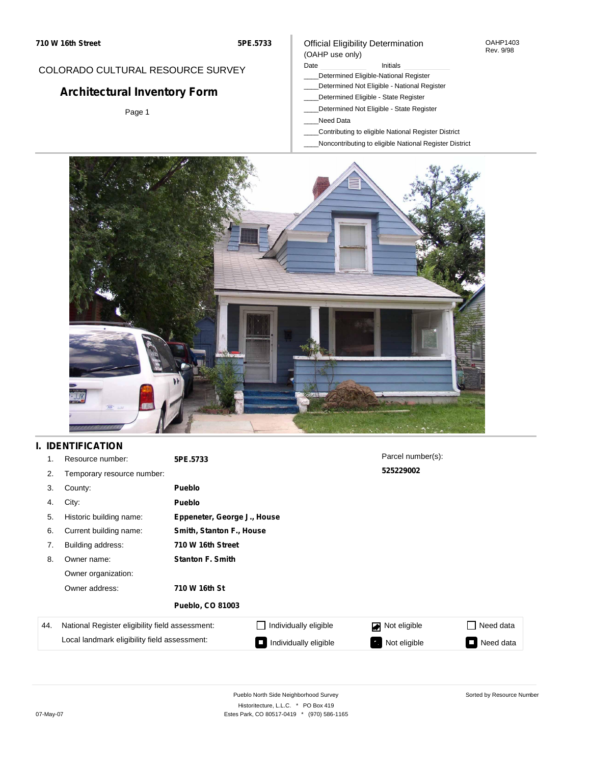#### OAHP1403 Rev. 9/98

## COLORADO CULTURAL RESOURCE SURVEY

# **Architectural Inventory Form**

Page 1

#### (OAHP use only) Date **Initials** Initials

Official Eligibility Determination

- \_\_\_\_Determined Eligible-National Register
- \_\_\_\_Determined Not Eligible National Register
- \_\_\_\_Determined Eligible State Register
- \_\_\_\_Determined Not Eligible State Register
- \_\_\_\_Need Data
- \_\_\_\_Contributing to eligible National Register District
- \_\_\_\_Noncontributing to eligible National Register District



## **I. IDENTIFICATION**

| 1.  | Resource number:                                | 5PE.5733                 |                             | Parcel number(s): |                 |  |  |
|-----|-------------------------------------------------|--------------------------|-----------------------------|-------------------|-----------------|--|--|
| 2.  | Temporary resource number:                      | 525229002                |                             |                   |                 |  |  |
| 3.  | County:                                         | <b>Pueblo</b>            |                             |                   |                 |  |  |
| 4.  | City:                                           | <b>Pueblo</b>            |                             |                   |                 |  |  |
| 5.  | Historic building name:                         |                          | Eppeneter, George J., House |                   |                 |  |  |
| 6.  | Current building name:                          | Smith, Stanton F., House |                             |                   |                 |  |  |
| 7.  | Building address:                               | 710 W 16th Street        |                             |                   |                 |  |  |
| 8.  | Owner name:                                     | <b>Stanton F. Smith</b>  |                             |                   |                 |  |  |
|     | Owner organization:                             |                          |                             |                   |                 |  |  |
|     | Owner address:                                  | 710 W 16th St            |                             |                   |                 |  |  |
|     |                                                 | <b>Pueblo, CO 81003</b>  |                             |                   |                 |  |  |
| 44. | National Register eligibility field assessment: |                          | Individually eligible       | Not eligible<br>◪ | Need data       |  |  |
|     | Local landmark eligibility field assessment:    |                          | Individually eligible       | Not eligible      | Need data<br>I. |  |  |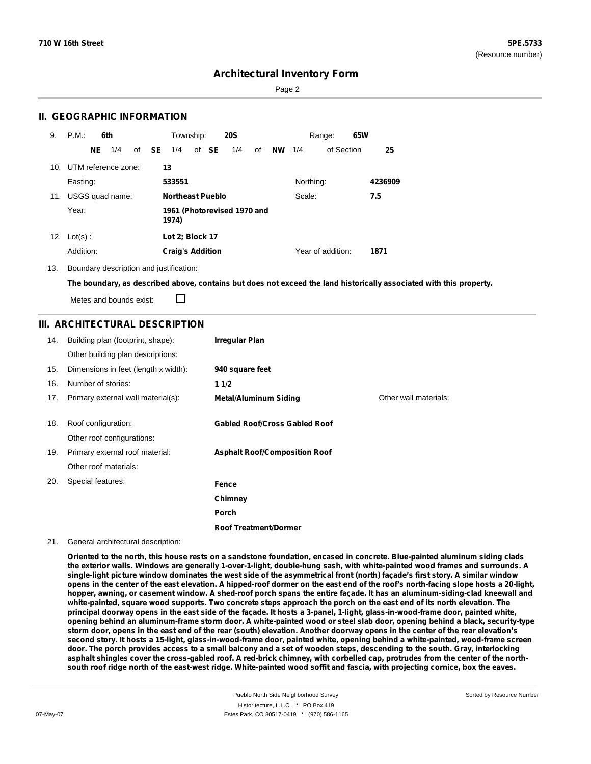Sorted by Resource Number

## **Architectural Inventory Form**

Page 2

### **II. GEOGRAPHIC INFORMATION**

| 9.  | P.M.       |     | 6th                     |              | Township:                            |  |       | <b>20S</b> |    |    |           | Range:            | 65W |         |
|-----|------------|-----|-------------------------|--------------|--------------------------------------|--|-------|------------|----|----|-----------|-------------------|-----|---------|
|     |            | NE. | 1/4                     | of <b>SE</b> | 1/4                                  |  | of SE | 1/4        | of | NW | 1/4       | of Section        |     | 25      |
|     |            |     | 10. UTM reference zone: |              | 13                                   |  |       |            |    |    |           |                   |     |         |
|     | Easting:   |     |                         |              | 533551                               |  |       |            |    |    | Northing: |                   |     | 4236909 |
| 11. |            |     | USGS quad name:         |              | <b>Northeast Pueblo</b>              |  |       |            |    |    | Scale:    |                   |     | 7.5     |
|     | Year:      |     |                         |              | 1961 (Photorevised 1970 and<br>1974) |  |       |            |    |    |           |                   |     |         |
| 12. | $Lot(s)$ : |     |                         |              | Lot 2; Block 17                      |  |       |            |    |    |           |                   |     |         |
|     | Addition:  |     |                         |              | <b>Craig's Addition</b>              |  |       |            |    |    |           | Year of addition: |     | 1871    |

13. Boundary description and justification:

The boundary, as described above, contains but does not exceed the land historically associated with this property.

Metes and bounds exist:

П

### **III. ARCHITECTURAL DESCRIPTION**

| 14. | Building plan (footprint, shape):    | <b>Irregular Plan</b>                |                       |
|-----|--------------------------------------|--------------------------------------|-----------------------|
|     | Other building plan descriptions:    |                                      |                       |
| 15. | Dimensions in feet (length x width): | 940 square feet                      |                       |
| 16. | Number of stories:                   | 11/2                                 |                       |
| 17. | Primary external wall material(s):   | <b>Metal/Aluminum Siding</b>         | Other wall materials: |
|     |                                      |                                      |                       |
| 18. | Roof configuration:                  | <b>Gabled Roof/Cross Gabled Roof</b> |                       |
|     | Other roof configurations:           |                                      |                       |
| 19. | Primary external roof material:      | <b>Asphalt Roof/Composition Roof</b> |                       |
|     | Other roof materials:                |                                      |                       |
| 20. | Special features:                    | Fence                                |                       |
|     |                                      | Chimney                              |                       |
|     |                                      | <b>Porch</b>                         |                       |
|     |                                      | <b>Roof Treatment/Dormer</b>         |                       |

#### 21. General architectural description:

Oriented to the north, this house rests on a sandstone foundation, encased in concrete. Blue-painted aluminum siding clads the exterior walls. Windows are generally 1-over-1-light, double-hung sash, with white-painted wood frames and surrounds. A single-light picture window dominates the west side of the asymmetrical front (north) façade's first story. A similar window opens in the center of the east elevation. A hipped-roof dormer on the east end of the roof's north-facing slope hosts a 20-light, hopper, awning, or casement window. A shed-roof porch spans the entire facade. It has an aluminum-siding-clad kneewall and white-painted, square wood supports. Two concrete steps approach the porch on the east end of its north elevation. The principal doorway opens in the east side of the façade. It hosts a 3-panel, 1-light, glass-in-wood-frame door, painted white, opening behind an aluminum-frame storm door. A white-painted wood or steel slab door, opening behind a black, security-type storm door, opens in the east end of the rear (south) elevation. Another doorway opens in the center of the rear elevation's second story. It hosts a 15-light, glass-in-wood-frame door, painted white, opening behind a white-painted, wood-frame screen door. The porch provides access to a small balcony and a set of wooden steps, descending to the south. Gray, interlocking asphalt shingles cover the cross-gabled roof. A red-brick chimney, with corbelled cap, protrudes from the center of the northsouth roof ridge north of the east-west ridge. White-painted wood soffit and fascia, with projecting cornice, box the eaves.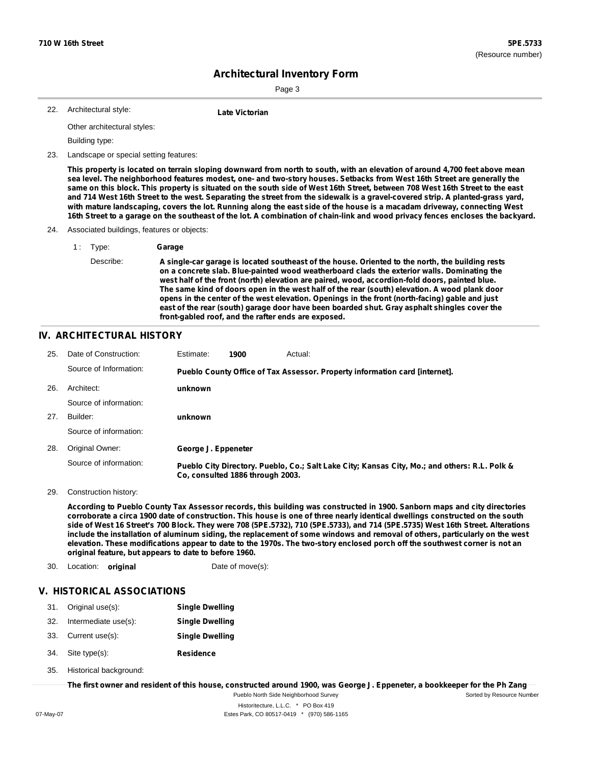Sorted by Resource Number

# **Architectural Inventory Form**

22. **Late Victorian**

Page 3

| 22. Architectural style: |  |
|--------------------------|--|
|                          |  |

Other architectural styles:

Building type:

23. Landscape or special setting features:

This property is located on terrain sloping downward from north to south, with an elevation of around 4,700 feet above mean sea level. The neighborhood features modest, one- and two-story houses. Setbacks from West 16th Street are generally the same on this block. This property is situated on the south side of West 16th Street, between 708 West 16th Street to the east and 714 West 16th Street to the west. Separating the street from the sidewalk is a gravel-covered strip. A planted-grass yard, with mature landscaping, covers the lot. Running along the east side of the house is a macadam driveway, connecting West 16th Street to a garage on the southeast of the lot. A combination of chain-link and wood privacy fences encloses the backyard.

- 24. Associated buildings, features or objects:
	- 1 : Type: **Garage**
		-

Describe: **A single-car garage is located southeast of the house. Oriented to the north, the building rests on a concrete slab. Blue-painted wood weatherboard clads the exterior walls. Dominating the west half of the front (north) elevation are paired, wood, accordion-fold doors, painted blue.** The same kind of doors open in the west half of the rear (south) elevation. A wood plank door **opens in the center of the west elevation. Openings in the front (north-facing) gable and just east of the rear (south) garage door have been boarded shut. Gray asphalt shingles cover the front-gabled roof, and the rafter ends are exposed.**

### **IV. ARCHITECTURAL HISTORY**

| 25. | Date of Construction:  | Estimate:           | 1900                             | Actual:                                                                                       |
|-----|------------------------|---------------------|----------------------------------|-----------------------------------------------------------------------------------------------|
|     | Source of Information: |                     |                                  | Pueblo County Office of Tax Assessor. Property information card [internet].                   |
| 26. | Architect:             | unknown             |                                  |                                                                                               |
|     | Source of information: |                     |                                  |                                                                                               |
| 27. | Builder:               | unknown             |                                  |                                                                                               |
|     | Source of information: |                     |                                  |                                                                                               |
| 28. | Original Owner:        | George J. Eppeneter |                                  |                                                                                               |
|     | Source of information: |                     | Co. consulted 1886 through 2003. | Pueblo City Directory. Pueblo, Co.; Salt Lake City; Kansas City, Mo.; and others: R.L. Polk & |

29. Construction history:

According to Pueblo County Tax Assessor records, this building was constructed in 1900. Sanborn maps and city directories corroborate a circa 1900 date of construction. This house is one of three nearly identical dwellings constructed on the south side of West 16 Street's 700 Block. They were 708 (5PE.5732), 710 (5PE.5733), and 714 (5PE.5735) West 16th Street. Alterations include the installation of aluminum siding, the replacement of some windows and removal of others, particularly on the west elevation. These modifications appear to date to the 1970s. The two-story enclosed porch off the southwest corner is not an **original feature, but appears to date to before 1960.**

30. Location: **original** Date of move(s):

### **V. HISTORICAL ASSOCIATIONS**

- 31. Original use(s): **Single Dwelling**
- 32. Intermediate use(s): **Single Dwelling**
- 33. Current use(s): **Single Dwelling**
- **Residence** Site type(s): 34.
- Historical background: 35.

The first owner and resident of this house, constructed around 1900, was George J. Eppeneter, a bookkeeper for the Ph Zang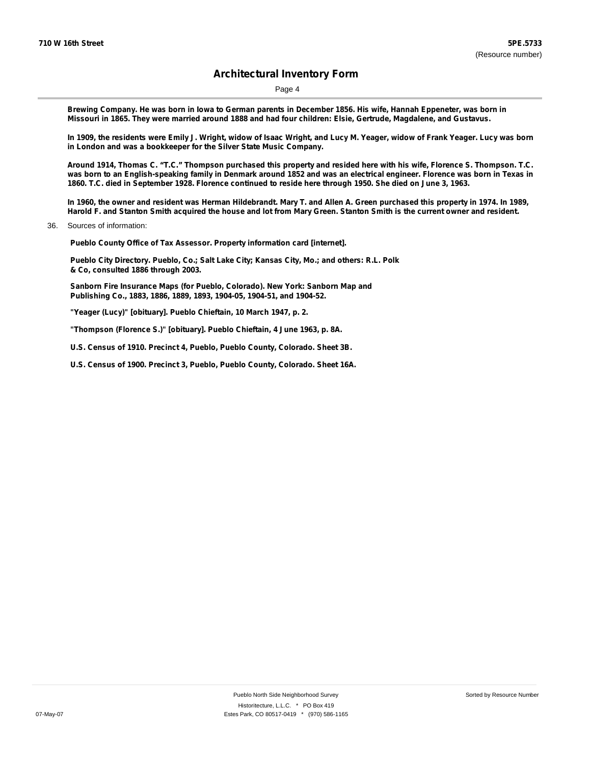Page 4

Brewing Company. He was born in lowa to German parents in December 1856. His wife, Hannah Eppeneter, was born in Missouri in 1865. They were married around 1888 and had four children: Elsie, Gertrude, Magdalene, and Gustavus.

In 1909, the residents were Emily J. Wright, widow of Isaac Wright, and Lucy M. Yeager, widow of Frank Yeager. Lucy was born **in London and was a bookkeeper for the Silver State Music Company.**

Around 1914, Thomas C. "T.C." Thompson purchased this property and resided here with his wife, Florence S. Thompson. T.C. was born to an English-speaking family in Denmark around 1852 and was an electrical engineer. Florence was born in Texas in 1860. T.C. died in September 1928. Florence continued to reside here through 1950. She died on June 3, 1963.

In 1960, the owner and resident was Herman Hildebrandt. Mary T. and Allen A. Green purchased this property in 1974. In 1989, Harold F. and Stanton Smith acquired the house and lot from Mary Green. Stanton Smith is the current owner and resident.

36. Sources of information:

**Pueblo County Office of Tax Assessor. Property information card [internet].**

**Pueblo City Directory. Pueblo, Co.; Salt Lake City; Kansas City, Mo.; and others: R.L. Polk & Co, consulted 1886 through 2003.**

**Sanborn Fire Insurance Maps (for Pueblo, Colorado). New York: Sanborn Map and Publishing Co., 1883, 1886, 1889, 1893, 1904-05, 1904-51, and 1904-52.**

**"Yeager (Lucy)" [obituary]. Pueblo Chieftain, 10 March 1947, p. 2.**

**"Thompson (Florence S.)" [obituary]. Pueblo Chieftain, 4 June 1963, p. 8A.**

**U.S. Census of 1910. Precinct 4, Pueblo, Pueblo County, Colorado. Sheet 3B.**

**U.S. Census of 1900. Precinct 3, Pueblo, Pueblo County, Colorado. Sheet 16A.**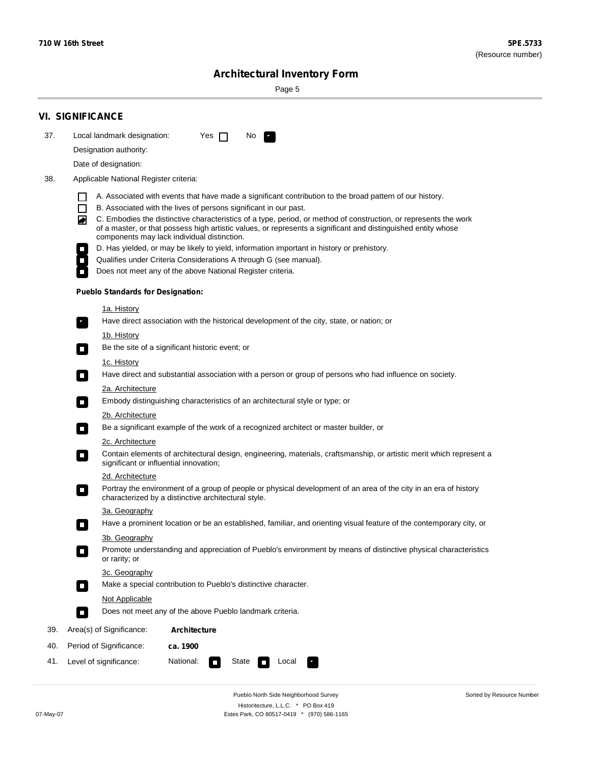÷

Sorted by Resource Number

# **Architectural Inventory Form**

Page 5

|     | <b>VI. SIGNIFICANCE</b>                                                                                                                                                                                                                                                                                                                                                                                                                                                               |  |  |  |  |  |  |  |  |
|-----|---------------------------------------------------------------------------------------------------------------------------------------------------------------------------------------------------------------------------------------------------------------------------------------------------------------------------------------------------------------------------------------------------------------------------------------------------------------------------------------|--|--|--|--|--|--|--|--|
| 37. | Local landmark designation:<br>Yes $\Box$<br>No.                                                                                                                                                                                                                                                                                                                                                                                                                                      |  |  |  |  |  |  |  |  |
|     | Designation authority:                                                                                                                                                                                                                                                                                                                                                                                                                                                                |  |  |  |  |  |  |  |  |
|     | Date of designation:                                                                                                                                                                                                                                                                                                                                                                                                                                                                  |  |  |  |  |  |  |  |  |
| 38. | Applicable National Register criteria:                                                                                                                                                                                                                                                                                                                                                                                                                                                |  |  |  |  |  |  |  |  |
|     | A. Associated with events that have made a significant contribution to the broad pattern of our history.<br>l.<br>B. Associated with the lives of persons significant in our past.<br>$\Box$<br>C. Embodies the distinctive characteristics of a type, period, or method of construction, or represents the work<br>◙<br>of a master, or that possess high artistic values, or represents a significant and distinguished entity whose<br>components may lack individual distinction. |  |  |  |  |  |  |  |  |
|     | D. Has yielded, or may be likely to yield, information important in history or prehistory.<br>Qualifies under Criteria Considerations A through G (see manual).                                                                                                                                                                                                                                                                                                                       |  |  |  |  |  |  |  |  |
|     | Does not meet any of the above National Register criteria.                                                                                                                                                                                                                                                                                                                                                                                                                            |  |  |  |  |  |  |  |  |
|     | <b>Pueblo Standards for Designation:</b>                                                                                                                                                                                                                                                                                                                                                                                                                                              |  |  |  |  |  |  |  |  |
|     | 1a. History                                                                                                                                                                                                                                                                                                                                                                                                                                                                           |  |  |  |  |  |  |  |  |
|     | Have direct association with the historical development of the city, state, or nation; or                                                                                                                                                                                                                                                                                                                                                                                             |  |  |  |  |  |  |  |  |
|     | <u>1b. History</u><br>Be the site of a significant historic event; or<br>$\mathcal{L}_{\mathcal{A}}$                                                                                                                                                                                                                                                                                                                                                                                  |  |  |  |  |  |  |  |  |
|     | 1c. History<br>Have direct and substantial association with a person or group of persons who had influence on society.<br>$\blacksquare$                                                                                                                                                                                                                                                                                                                                              |  |  |  |  |  |  |  |  |
|     | 2a. Architecture<br>Embody distinguishing characteristics of an architectural style or type; or<br>$\overline{\phantom{a}}$                                                                                                                                                                                                                                                                                                                                                           |  |  |  |  |  |  |  |  |
|     | 2b. Architecture                                                                                                                                                                                                                                                                                                                                                                                                                                                                      |  |  |  |  |  |  |  |  |
|     | Be a significant example of the work of a recognized architect or master builder, or<br>$\sim$                                                                                                                                                                                                                                                                                                                                                                                        |  |  |  |  |  |  |  |  |
|     | 2c. Architecture<br>Contain elements of architectural design, engineering, materials, craftsmanship, or artistic merit which represent a<br>О<br>significant or influential innovation;                                                                                                                                                                                                                                                                                               |  |  |  |  |  |  |  |  |
|     | 2d. Architecture                                                                                                                                                                                                                                                                                                                                                                                                                                                                      |  |  |  |  |  |  |  |  |
|     | Portray the environment of a group of people or physical development of an area of the city in an era of history<br>$\Box$<br>characterized by a distinctive architectural style.                                                                                                                                                                                                                                                                                                     |  |  |  |  |  |  |  |  |
|     | 3a. Geography                                                                                                                                                                                                                                                                                                                                                                                                                                                                         |  |  |  |  |  |  |  |  |
|     | Have a prominent location or be an established, familiar, and orienting visual feature of the contemporary city, or                                                                                                                                                                                                                                                                                                                                                                   |  |  |  |  |  |  |  |  |
|     | 3b. Geography<br>Promote understanding and appreciation of Pueblo's environment by means of distinctive physical characteristics<br>or rarity; or                                                                                                                                                                                                                                                                                                                                     |  |  |  |  |  |  |  |  |
|     | 3c. Geography<br>Make a special contribution to Pueblo's distinctive character.<br>$\sim$                                                                                                                                                                                                                                                                                                                                                                                             |  |  |  |  |  |  |  |  |
|     | Not Applicable                                                                                                                                                                                                                                                                                                                                                                                                                                                                        |  |  |  |  |  |  |  |  |
|     | Does not meet any of the above Pueblo landmark criteria.<br>$\overline{\phantom{a}}$                                                                                                                                                                                                                                                                                                                                                                                                  |  |  |  |  |  |  |  |  |
| 39. | Area(s) of Significance:<br><b>Architecture</b>                                                                                                                                                                                                                                                                                                                                                                                                                                       |  |  |  |  |  |  |  |  |
| 40. | Period of Significance:<br>ca. 1900                                                                                                                                                                                                                                                                                                                                                                                                                                                   |  |  |  |  |  |  |  |  |
| 41. | National:<br>Level of significance:<br>State<br>Local<br>П<br>м.                                                                                                                                                                                                                                                                                                                                                                                                                      |  |  |  |  |  |  |  |  |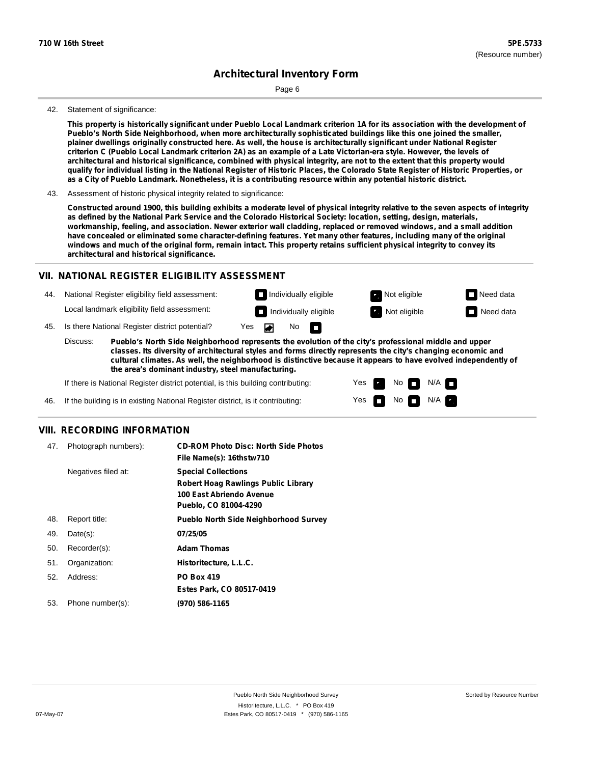Page 6

#### 42. Statement of significance:

This property is historically significant under Pueblo Local Landmark criterion 1A for its association with the development of **Pueblo's North Side Neighborhood, when more architecturally sophisticated buildings like this one joined the smaller,** plainer dwellings originally constructed here. As well, the house is architecturally significant under National Register criterion C (Pueblo Local Landmark criterion 2A) as an example of a Late Victorian-era style. However, the levels of architectural and historical significance, combined with physical integrity, are not to the extent that this property would qualify for individual listing in the National Register of Historic Places, the Colorado State Register of Historic Properties, or as a City of Pueblo Landmark. Nonetheless, it is a contributing resource within any potential historic district.

#### 43. Assessment of historic physical integrity related to significance:

Constructed around 1900, this building exhibits a moderate level of physical integrity relative to the seven aspects of integrity as defined by the National Park Service and the Colorado Historical Society: location, setting, design, materials, workmanship, feeling, and association. Newer exterior wall cladding, replaced or removed windows, and a small addition have concealed or eliminated some character-defining features. Yet many other features, including many of the original windows and much of the original form, remain intact. This property retains sufficient physical integrity to convey its **architectural and historical significance.**

### **VII. NATIONAL REGISTER ELIGIBILITY ASSESSMENT**

44. National Register eligibility field assessment: Local landmark eligibility field assessment:

**Individually eligible Not eligible** Not eligible **Need data** No m

> Yes Yes

No

No **N/A** 

 $N/A$ 

**Individually eligible Not eligible** Not eligible **Need data** 

45. Is there National Register district potential? Yes

**Pueblo's North Side Neighborhood represents the evolution of the city's professional middle and upper classes. Its diversity of architectural styles and forms directly represents the city's changing economic and cultural climates. As well, the neighborhood is distinctive because it appears to have evolved independently of the area's dominant industry, steel manufacturing.** Discuss:

If there is National Register district potential, is this building contributing:

If the building is in existing National Register district, is it contributing: 46.

### **VIII. RECORDING INFORMATION**

| 47. | Photograph numbers): | <b>CD-ROM Photo Disc: North Side Photos</b><br>File Name(s): 16thstw710                                                       |
|-----|----------------------|-------------------------------------------------------------------------------------------------------------------------------|
|     | Negatives filed at:  | <b>Special Collections</b><br><b>Robert Hoag Rawlings Public Library</b><br>100 East Abriendo Avenue<br>Pueblo, CO 81004-4290 |
| 48. | Report title:        | <b>Pueblo North Side Neighborhood Survey</b>                                                                                  |
| 49. | $Date(s)$ :          | 07/25/05                                                                                                                      |
| 50. | Recorder(s):         | <b>Adam Thomas</b>                                                                                                            |
| 51. | Organization:        | Historitecture, L.L.C.                                                                                                        |
| 52. | Address:             | <b>PO Box 419</b>                                                                                                             |
|     |                      | Estes Park, CO 80517-0419                                                                                                     |
| 53. | Phone number(s):     | (970) 586-1165                                                                                                                |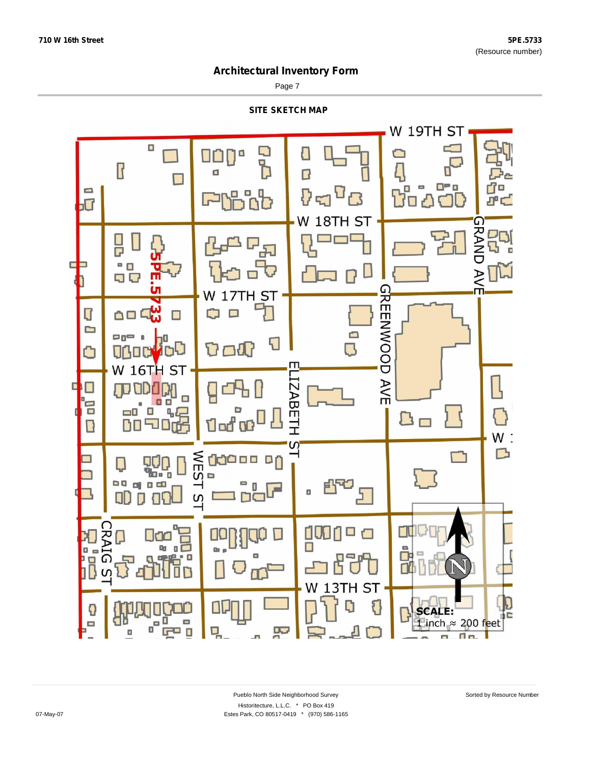Page 7